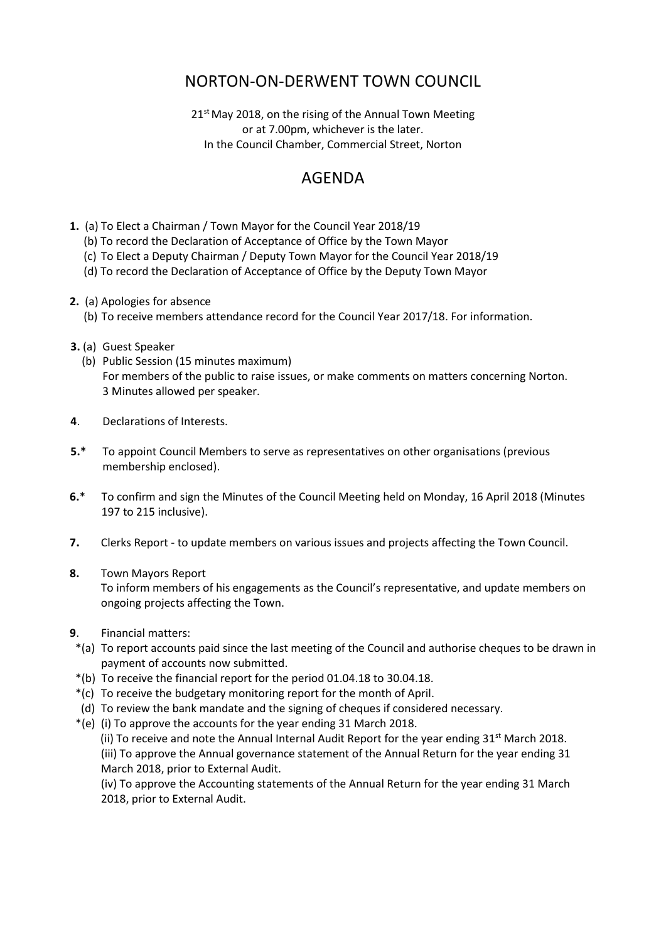## NORTON-ON-DERWENT TOWN COUNCIL

21<sup>st</sup> May 2018, on the rising of the Annual Town Meeting or at 7.00pm, whichever is the later. In the Council Chamber, Commercial Street, Norton

## AGENDA

- **1.** (a) To Elect a Chairman / Town Mayor for the Council Year 2018/19
	- (b) To record the Declaration of Acceptance of Office by the Town Mayor
	- (c) To Elect a Deputy Chairman / Deputy Town Mayor for the Council Year 2018/19
	- (d) To record the Declaration of Acceptance of Office by the Deputy Town Mayor
- **2.** (a) Apologies for absence
	- (b) To receive members attendance record for the Council Year 2017/18. For information.
- **3.** (a) Guest Speaker
	- (b) Public Session (15 minutes maximum) For members of the public to raise issues, or make comments on matters concerning Norton. 3 Minutes allowed per speaker.
- **4**. Declarations of Interests.
- **5.\*** To appoint Council Members to serve as representatives on other organisations (previous membership enclosed).
- **6.**\* To confirm and sign the Minutes of the Council Meeting held on Monday, 16 April 2018 (Minutes 197 to 215 inclusive).
- **7.** Clerks Report to update members on various issues and projects affecting the Town Council.
- **8.** Town Mayors Report

 To inform members of his engagements as the Council's representative, and update members on ongoing projects affecting the Town.

- **9**. Financial matters:
- \*(a) To report accounts paid since the last meeting of the Council and authorise cheques to be drawn in payment of accounts now submitted.
- \*(b) To receive the financial report for the period 01.04.18 to 30.04.18.
- \*(c) To receive the budgetary monitoring report for the month of April.
- (d) To review the bank mandate and the signing of cheques if considered necessary.
- \*(e) (i) To approve the accounts for the year ending 31 March 2018. (ii) To receive and note the Annual Internal Audit Report for the year ending  $31^{st}$  March 2018. (iii) To approve the Annual governance statement of the Annual Return for the year ending 31 March 2018, prior to External Audit.

(iv) To approve the Accounting statements of the Annual Return for the year ending 31 March 2018, prior to External Audit.